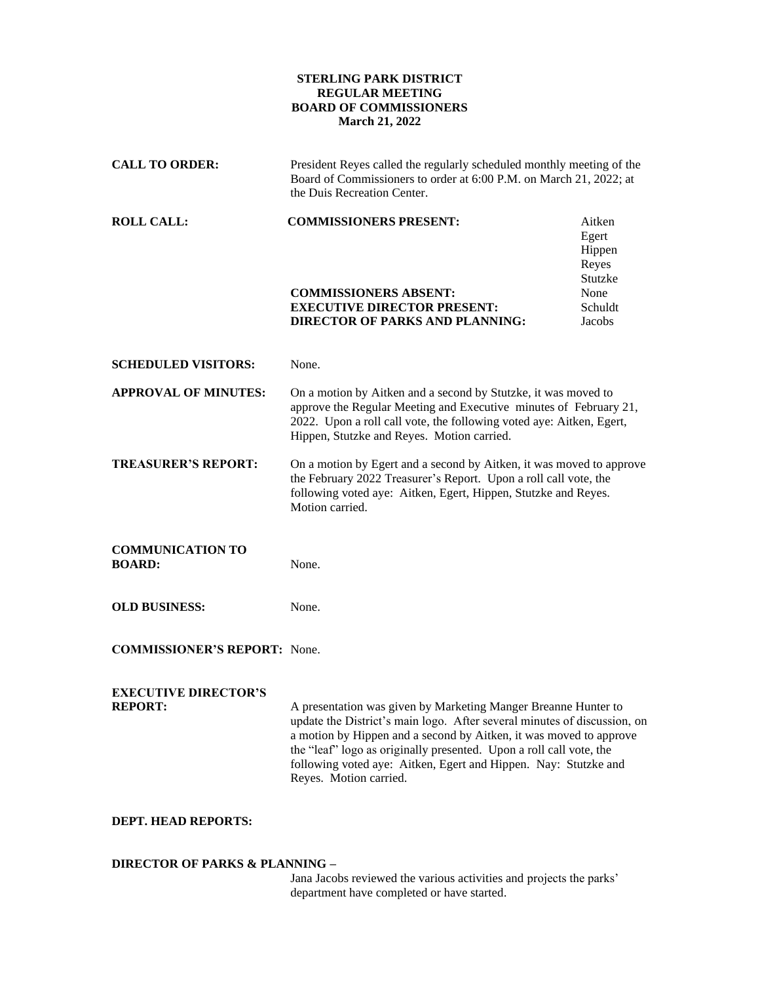## **STERLING PARK DISTRICT REGULAR MEETING BOARD OF COMMISSIONERS March 21, 2022**

| <b>CALL TO ORDER:</b>                         | President Reyes called the regularly scheduled monthly meeting of the<br>Board of Commissioners to order at 6:00 P.M. on March 21, 2022; at<br>the Duis Recreation Center.                                                                                                                                                                                                           |                                                                            |
|-----------------------------------------------|--------------------------------------------------------------------------------------------------------------------------------------------------------------------------------------------------------------------------------------------------------------------------------------------------------------------------------------------------------------------------------------|----------------------------------------------------------------------------|
| <b>ROLL CALL:</b>                             | <b>COMMISSIONERS PRESENT:</b><br><b>COMMISSIONERS ABSENT:</b><br><b>EXECUTIVE DIRECTOR PRESENT:</b><br><b>DIRECTOR OF PARKS AND PLANNING:</b>                                                                                                                                                                                                                                        | Aitken<br>Egert<br>Hippen<br>Reyes<br>Stutzke<br>None<br>Schuldt<br>Jacobs |
| <b>SCHEDULED VISITORS:</b>                    | None.                                                                                                                                                                                                                                                                                                                                                                                |                                                                            |
| <b>APPROVAL OF MINUTES:</b>                   | On a motion by Aitken and a second by Stutzke, it was moved to<br>approve the Regular Meeting and Executive minutes of February 21,<br>2022. Upon a roll call vote, the following voted aye: Aitken, Egert,<br>Hippen, Stutzke and Reyes. Motion carried.                                                                                                                            |                                                                            |
| <b>TREASURER'S REPORT:</b>                    | On a motion by Egert and a second by Aitken, it was moved to approve<br>the February 2022 Treasurer's Report. Upon a roll call vote, the<br>following voted aye: Aitken, Egert, Hippen, Stutzke and Reyes.<br>Motion carried.                                                                                                                                                        |                                                                            |
| <b>COMMUNICATION TO</b><br><b>BOARD:</b>      | None.                                                                                                                                                                                                                                                                                                                                                                                |                                                                            |
| <b>OLD BUSINESS:</b>                          | None.                                                                                                                                                                                                                                                                                                                                                                                |                                                                            |
| <b>COMMISSIONER'S REPORT:</b> None.           |                                                                                                                                                                                                                                                                                                                                                                                      |                                                                            |
| <b>EXECUTIVE DIRECTOR'S</b><br><b>REPORT:</b> | A presentation was given by Marketing Manger Breanne Hunter to<br>update the District's main logo. After several minutes of discussion, on<br>a motion by Hippen and a second by Aitken, it was moved to approve<br>the "leaf" logo as originally presented. Upon a roll call vote, the<br>following voted aye: Aitken, Egert and Hippen. Nay: Stutzke and<br>Reyes. Motion carried. |                                                                            |
| <b>DEPT. HEAD REPORTS:</b>                    |                                                                                                                                                                                                                                                                                                                                                                                      |                                                                            |

## **DIRECTOR OF PARKS & PLANNING –**

Jana Jacobs reviewed the various activities and projects the parks' department have completed or have started.